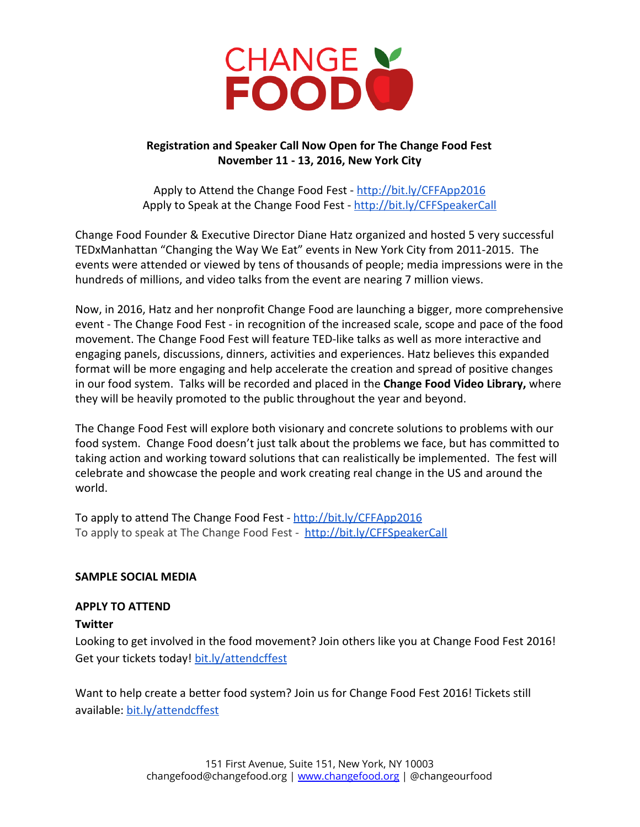

# **Registration and Speaker Call Now Open for The Change Food Fest November 11 13, 2016, New York City**

Apply to Attend the Change Food Fest - <http://bit.ly/CFFApp2016> Apply to Speak at the Change Food Fest - <http://bit.ly/CFFSpeakerCall>

Change Food Founder & Executive Director Diane Hatz organized and hosted 5 very successful TEDxManhattan "Changing the Way We Eat" events in New York City from 2011-2015. The events were attended or viewed by tens of thousands of people; media impressions were in the hundreds of millions, and video talks from the event are nearing 7 million views.

Now, in 2016, Hatz and her nonprofit Change Food are launching a bigger, more comprehensive event - The Change Food Fest - in recognition of the increased scale, scope and pace of the food movement. The Change Food Fest will feature TED-like talks as well as more interactive and engaging panels, discussions, dinners, activities and experiences. Hatz believes this expanded format will be more engaging and help accelerate the creation and spread of positive changes in our food system. Talks will be recorded and placed in the **Change Food Video Library,** where they will be heavily promoted to the public throughout the year and beyond.

The Change Food Fest will explore both visionary and concrete solutions to problems with our food system. Change Food doesn't just talk about the problems we face, but has committed to taking action and working toward solutions that can realistically be implemented. The fest will celebrate and showcase the people and work creating real change in the US and around the world.

To apply to attend The Change Food Fest - <http://bit.ly/CFFApp2016> To apply to speak at The Change Food Fest - <http://bit.ly/CFFSpeakerCall>

# **SAMPLE SOCIAL MEDIA**

# **APPLY TO ATTEND**

## **Twitter**

Looking to get involved in the food movement? Join others like you at Change Food Fest 2016! Get your tickets today[!](http://bit.ly/attendcffest) [bit.ly/attendcffest](http://bit.ly/attendcffest)

Want to help create a better food system? Join us for Change Food Fest 2016! Tickets still available: [bit.ly/attendcffest](http://bit.ly/attendcffest)